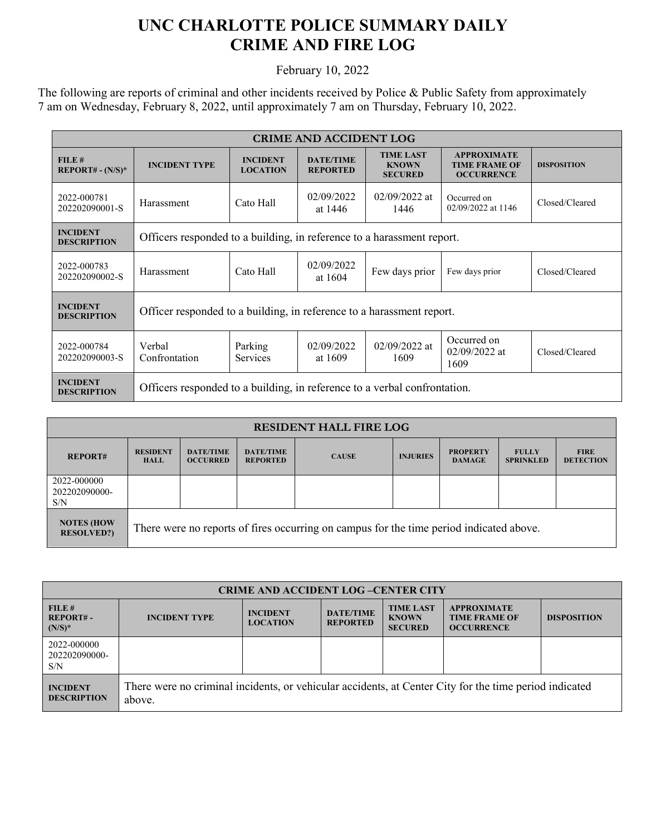## **UNC CHARLOTTE POLICE SUMMARY DAILY CRIME AND FIRE LOG**

February 10, 2022

The following are reports of criminal and other incidents received by Police & Public Safety from approximately 7 am on Wednesday, February 8, 2022, until approximately 7 am on Thursday, February 10, 2022.

| <b>CRIME AND ACCIDENT LOG</b>         |                                                                           |                                    |                                     |                                                    |                                                                 |                    |  |
|---------------------------------------|---------------------------------------------------------------------------|------------------------------------|-------------------------------------|----------------------------------------------------|-----------------------------------------------------------------|--------------------|--|
| FILE#<br>$REPORT# - (N/S)*$           | <b>INCIDENT TYPE</b>                                                      | <b>INCIDENT</b><br><b>LOCATION</b> | <b>DATE/TIME</b><br><b>REPORTED</b> | <b>TIME LAST</b><br><b>KNOWN</b><br><b>SECURED</b> | <b>APPROXIMATE</b><br><b>TIME FRAME OF</b><br><b>OCCURRENCE</b> | <b>DISPOSITION</b> |  |
| 2022-000781<br>202202090001-S         | Harassment                                                                | Cato Hall                          | 02/09/2022<br>at 1446               | $02/09/2022$ at<br>1446                            | Occurred on<br>02/09/2022 at 1146                               | Closed/Cleared     |  |
| <b>INCIDENT</b><br><b>DESCRIPTION</b> | Officers responded to a building, in reference to a harassment report.    |                                    |                                     |                                                    |                                                                 |                    |  |
| 2022-000783<br>202202090002-S         | Harassment                                                                | Cato Hall                          | 02/09/2022<br>at 1604               | Few days prior                                     | Few days prior                                                  | Closed/Cleared     |  |
| <b>INCIDENT</b><br><b>DESCRIPTION</b> | Officer responded to a building, in reference to a harassment report.     |                                    |                                     |                                                    |                                                                 |                    |  |
| 2022-000784<br>202202090003-S         | Verbal<br>Confrontation                                                   | Parking<br><b>Services</b>         | 02/09/2022<br>at 1609               | 02/09/2022 at<br>1609                              | Occurred on<br>$02/09/2022$ at<br>1609                          | Closed/Cleared     |  |
| <b>INCIDENT</b><br><b>DESCRIPTION</b> | Officers responded to a building, in reference to a verbal confrontation. |                                    |                                     |                                                    |                                                                 |                    |  |

| <b>RESIDENT HALL FIRE LOG</b>          |                                                                                         |                                     |                                     |              |                 |                                  |                                  |                                 |
|----------------------------------------|-----------------------------------------------------------------------------------------|-------------------------------------|-------------------------------------|--------------|-----------------|----------------------------------|----------------------------------|---------------------------------|
| <b>REPORT#</b>                         | <b>RESIDENT</b><br><b>HALL</b>                                                          | <b>DATE/TIME</b><br><b>OCCURRED</b> | <b>DATE/TIME</b><br><b>REPORTED</b> | <b>CAUSE</b> | <b>INJURIES</b> | <b>PROPERTY</b><br><b>DAMAGE</b> | <b>FULLY</b><br><b>SPRINKLED</b> | <b>FIRE</b><br><b>DETECTION</b> |
| 2022-000000<br>202202090000-<br>S/N    |                                                                                         |                                     |                                     |              |                 |                                  |                                  |                                 |
| <b>NOTES (HOW</b><br><b>RESOLVED?)</b> | There were no reports of fires occurring on campus for the time period indicated above. |                                     |                                     |              |                 |                                  |                                  |                                 |

| <b>CRIME AND ACCIDENT LOG-CENTER CITY</b> |                                                                                                                  |                                    |                                     |                                                    |                                                                 |                    |  |
|-------------------------------------------|------------------------------------------------------------------------------------------------------------------|------------------------------------|-------------------------------------|----------------------------------------------------|-----------------------------------------------------------------|--------------------|--|
| FILE#<br><b>REPORT#-</b><br>$(N/S)^*$     | <b>INCIDENT TYPE</b>                                                                                             | <b>INCIDENT</b><br><b>LOCATION</b> | <b>DATE/TIME</b><br><b>REPORTED</b> | <b>TIME LAST</b><br><b>KNOWN</b><br><b>SECURED</b> | <b>APPROXIMATE</b><br><b>TIME FRAME OF</b><br><b>OCCURRENCE</b> | <b>DISPOSITION</b> |  |
| 2022-000000<br>202202090000-<br>S/N       |                                                                                                                  |                                    |                                     |                                                    |                                                                 |                    |  |
| <b>INCIDENT</b><br><b>DESCRIPTION</b>     | There were no criminal incidents, or vehicular accidents, at Center City for the time period indicated<br>above. |                                    |                                     |                                                    |                                                                 |                    |  |